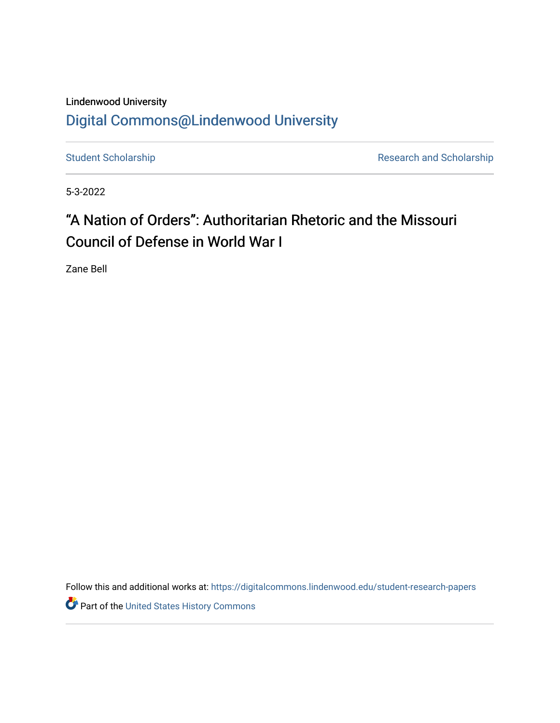## Lindenwood University

## [Digital Commons@Lindenwood University](https://digitalcommons.lindenwood.edu/)

[Student Scholarship](https://digitalcommons.lindenwood.edu/student-research-papers) **Research and Scholarship** Research and Scholarship

5-3-2022

## "A Nation of Orders": Authoritarian Rhetoric and the Missouri Council of Defense in World War I

Zane Bell

Follow this and additional works at: [https://digitalcommons.lindenwood.edu/student-research-papers](https://digitalcommons.lindenwood.edu/student-research-papers?utm_source=digitalcommons.lindenwood.edu%2Fstudent-research-papers%2F27&utm_medium=PDF&utm_campaign=PDFCoverPages) 

Part of the [United States History Commons](https://network.bepress.com/hgg/discipline/495?utm_source=digitalcommons.lindenwood.edu%2Fstudent-research-papers%2F27&utm_medium=PDF&utm_campaign=PDFCoverPages)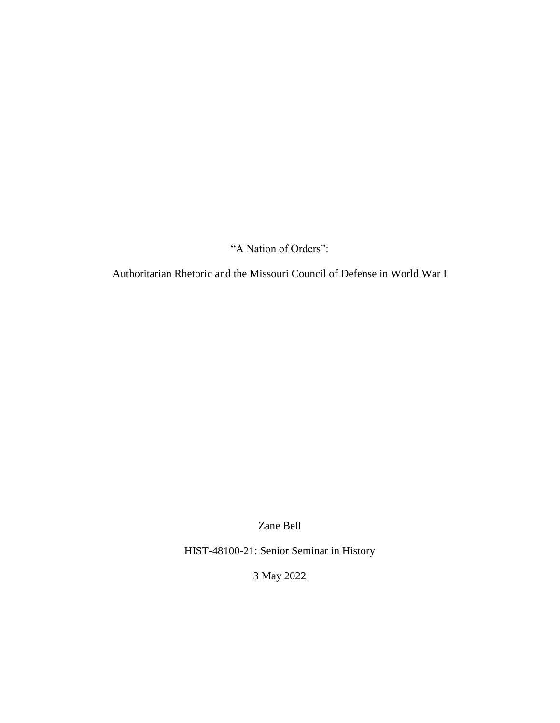"A Nation of Orders":

Authoritarian Rhetoric and the Missouri Council of Defense in World War I

Zane Bell

HIST-48100-21: Senior Seminar in History

3 May 2022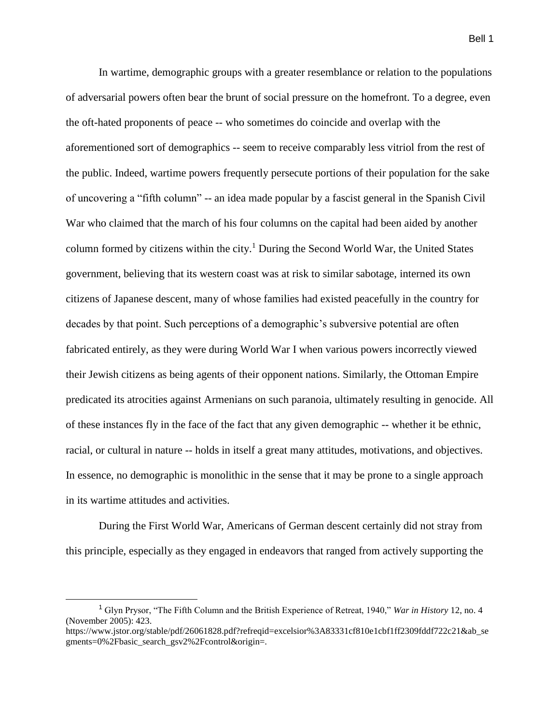In wartime, demographic groups with a greater resemblance or relation to the populations of adversarial powers often bear the brunt of social pressure on the homefront. To a degree, even the oft-hated proponents of peace -- who sometimes do coincide and overlap with the aforementioned sort of demographics -- seem to receive comparably less vitriol from the rest of the public. Indeed, wartime powers frequently persecute portions of their population for the sake of uncovering a "fifth column" -- an idea made popular by a fascist general in the Spanish Civil War who claimed that the march of his four columns on the capital had been aided by another column formed by citizens within the city.<sup>1</sup> During the Second World War, the United States government, believing that its western coast was at risk to similar sabotage, interned its own citizens of Japanese descent, many of whose families had existed peacefully in the country for decades by that point. Such perceptions of a demographic's subversive potential are often fabricated entirely, as they were during World War I when various powers incorrectly viewed their Jewish citizens as being agents of their opponent nations. Similarly, the Ottoman Empire predicated its atrocities against Armenians on such paranoia, ultimately resulting in genocide. All of these instances fly in the face of the fact that any given demographic -- whether it be ethnic, racial, or cultural in nature -- holds in itself a great many attitudes, motivations, and objectives. In essence, no demographic is monolithic in the sense that it may be prone to a single approach in its wartime attitudes and activities.

During the First World War, Americans of German descent certainly did not stray from this principle, especially as they engaged in endeavors that ranged from actively supporting the

<sup>1</sup> Glyn Prysor, "The Fifth Column and the British Experience of Retreat, 1940," *War in History* 12, no. 4 (November 2005): 423.

https://www.jstor.org/stable/pdf/26061828.pdf?refreqid=excelsior%3A83331cf810e1cbf1ff2309fddf722c21&ab\_se gments=0%2Fbasic\_search\_gsv2%2Fcontrol&origin=.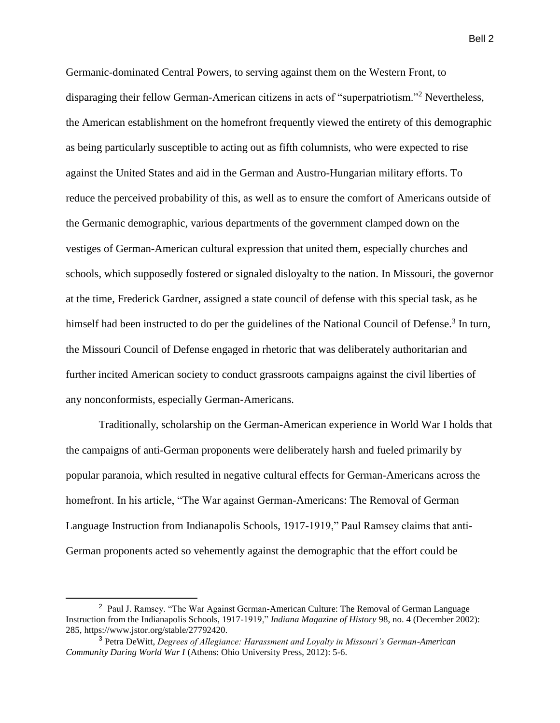Germanic-dominated Central Powers, to serving against them on the Western Front, to disparaging their fellow German-American citizens in acts of "superpatriotism."<sup>2</sup> Nevertheless, the American establishment on the homefront frequently viewed the entirety of this demographic as being particularly susceptible to acting out as fifth columnists, who were expected to rise against the United States and aid in the German and Austro-Hungarian military efforts. To reduce the perceived probability of this, as well as to ensure the comfort of Americans outside of the Germanic demographic, various departments of the government clamped down on the vestiges of German-American cultural expression that united them, especially churches and schools, which supposedly fostered or signaled disloyalty to the nation. In Missouri, the governor at the time, Frederick Gardner, assigned a state council of defense with this special task, as he himself had been instructed to do per the guidelines of the National Council of Defense.<sup>3</sup> In turn, the Missouri Council of Defense engaged in rhetoric that was deliberately authoritarian and further incited American society to conduct grassroots campaigns against the civil liberties of any nonconformists, especially German-Americans.

Traditionally, scholarship on the German-American experience in World War I holds that the campaigns of anti-German proponents were deliberately harsh and fueled primarily by popular paranoia, which resulted in negative cultural effects for German-Americans across the homefront. In his article, "The War against German-Americans: The Removal of German Language Instruction from Indianapolis Schools, 1917-1919," Paul Ramsey claims that anti-German proponents acted so vehemently against the demographic that the effort could be

<sup>&</sup>lt;sup>2</sup> Paul J. Ramsey. "The War Against German-American Culture: The Removal of German Language Instruction from the Indianapolis Schools, 1917-1919," *Indiana Magazine of History* 98, no. 4 (December 2002): 285, https://www.jstor.org/stable/27792420.

<sup>3</sup> Petra DeWitt, *Degrees of Allegiance: Harassment and Loyalty in Missouri's German-American Community During World War I* (Athens: Ohio University Press, 2012): 5-6.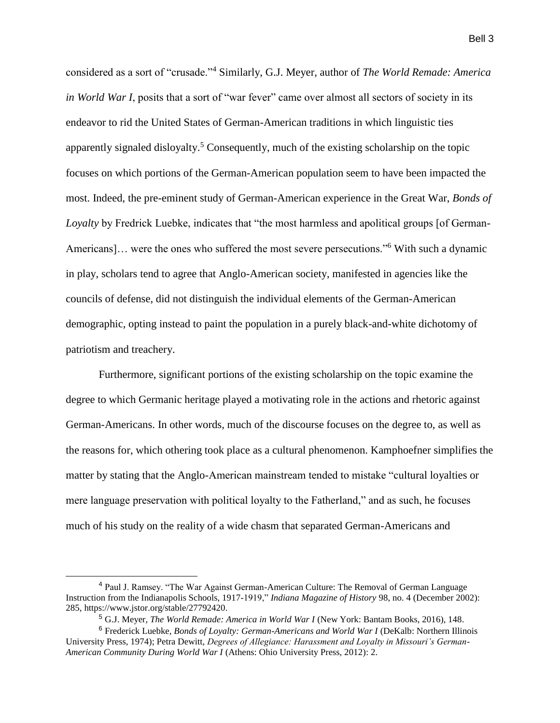considered as a sort of "crusade."<sup>4</sup> Similarly, G.J. Meyer, author of *The World Remade: America in World War I*, posits that a sort of "war fever" came over almost all sectors of society in its endeavor to rid the United States of German-American traditions in which linguistic ties apparently signaled disloyalty.<sup>5</sup> Consequently, much of the existing scholarship on the topic focuses on which portions of the German-American population seem to have been impacted the most. Indeed, the pre-eminent study of German-American experience in the Great War, *Bonds of Loyalty* by Fredrick Luebke, indicates that "the most harmless and apolitical groups [of German-Americans]... were the ones who suffered the most severe persecutions."<sup>6</sup> With such a dynamic in play, scholars tend to agree that Anglo-American society, manifested in agencies like the councils of defense, did not distinguish the individual elements of the German-American demographic, opting instead to paint the population in a purely black-and-white dichotomy of patriotism and treachery.

Furthermore, significant portions of the existing scholarship on the topic examine the degree to which Germanic heritage played a motivating role in the actions and rhetoric against German-Americans. In other words, much of the discourse focuses on the degree to, as well as the reasons for, which othering took place as a cultural phenomenon. Kamphoefner simplifies the matter by stating that the Anglo-American mainstream tended to mistake "cultural loyalties or mere language preservation with political loyalty to the Fatherland," and as such, he focuses much of his study on the reality of a wide chasm that separated German-Americans and

 $\overline{a}$ 

<sup>4</sup> Paul J. Ramsey. "The War Against German-American Culture: The Removal of German Language Instruction from the Indianapolis Schools, 1917-1919," *Indiana Magazine of History* 98, no. 4 (December 2002): 285, https://www.jstor.org/stable/27792420.

<sup>5</sup> G.J. Meyer, *The World Remade: America in World War I* (New York: Bantam Books, 2016), 148.

<sup>6</sup> Frederick Luebke, *Bonds of Loyalty: German-Americans and World War I* (DeKalb: Northern Illinois University Press, 1974); Petra Dewitt, *Degrees of Allegiance: Harassment and Loyalty in Missouri's German-American Community During World War I* (Athens: Ohio University Press, 2012): 2.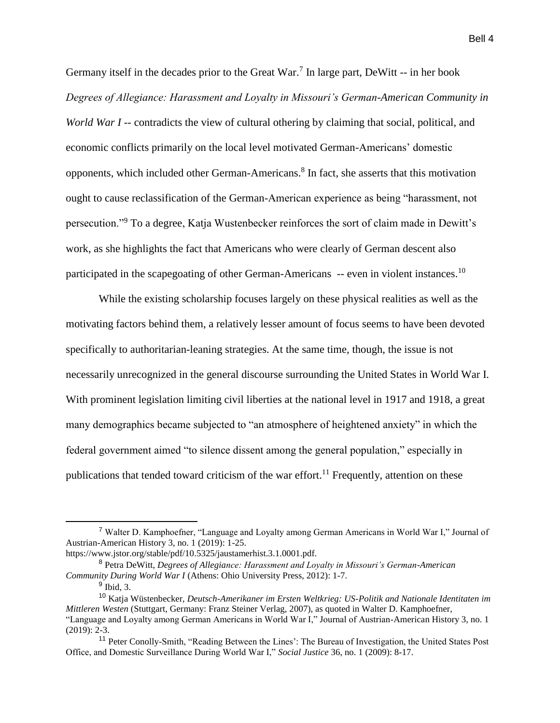Germany itself in the decades prior to the Great  $War<sup>7</sup>$  In large part, DeWitt -- in her book *Degrees of Allegiance: Harassment and Loyalty in Missouri's German-American Community in World War I* -- contradicts the view of cultural othering by claiming that social, political, and economic conflicts primarily on the local level motivated German-Americans' domestic opponents, which included other German-Americans.<sup>8</sup> In fact, she asserts that this motivation ought to cause reclassification of the German-American experience as being "harassment, not persecution."<sup>9</sup> To a degree, Katja Wustenbecker reinforces the sort of claim made in Dewitt's work, as she highlights the fact that Americans who were clearly of German descent also participated in the scapegoating of other German-Americans -- even in violent instances.<sup>10</sup>

While the existing scholarship focuses largely on these physical realities as well as the motivating factors behind them, a relatively lesser amount of focus seems to have been devoted specifically to authoritarian-leaning strategies. At the same time, though, the issue is not necessarily unrecognized in the general discourse surrounding the United States in World War I. With prominent legislation limiting civil liberties at the national level in 1917 and 1918, a great many demographics became subjected to "an atmosphere of heightened anxiety" in which the federal government aimed "to silence dissent among the general population," especially in publications that tended toward criticism of the war effort.<sup>11</sup> Frequently, attention on these

<sup>7</sup> Walter D. Kamphoefner, "Language and Loyalty among German Americans in World War I," Journal of Austrian-American History 3, no. 1 (2019): 1-25.

https://www.jstor.org/stable/pdf/10.5325/jaustamerhist.3.1.0001.pdf.

<sup>8</sup> Petra DeWitt, *Degrees of Allegiance: Harassment and Loyalty in Missouri's German-American Community During World War I* (Athens: Ohio University Press, 2012): 1-7.

<sup>&</sup>lt;sup>9</sup> Ibid, 3.

<sup>10</sup> Katja Wüstenbecker, *Deutsch-Amerikaner im Ersten Weltkrieg: US-Politik and Nationale Identitaten im Mittleren Westen* (Stuttgart, Germany: Franz Steiner Verlag, 2007), as quoted in Walter D. Kamphoefner, "Language and Loyalty among German Americans in World War I," Journal of Austrian-American History 3, no. 1 (2019): 2-3.

<sup>11</sup> Peter Conolly-Smith, "Reading Between the Lines': The Bureau of Investigation, the United States Post Office, and Domestic Surveillance During World War I," *Social Justice* 36, no. 1 (2009): 8-17.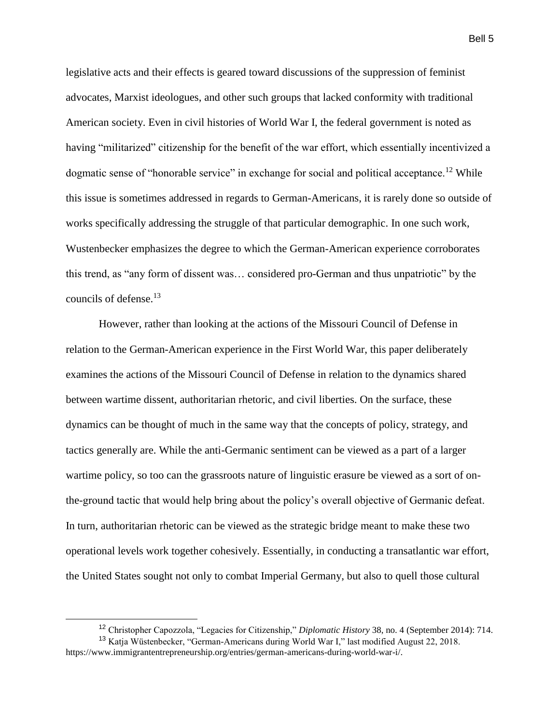legislative acts and their effects is geared toward discussions of the suppression of feminist advocates, Marxist ideologues, and other such groups that lacked conformity with traditional American society. Even in civil histories of World War I, the federal government is noted as having "militarized" citizenship for the benefit of the war effort, which essentially incentivized a dogmatic sense of "honorable service" in exchange for social and political acceptance.<sup>12</sup> While this issue is sometimes addressed in regards to German-Americans, it is rarely done so outside of works specifically addressing the struggle of that particular demographic. In one such work, Wustenbecker emphasizes the degree to which the German-American experience corroborates this trend, as "any form of dissent was… considered pro-German and thus unpatriotic" by the councils of defense.<sup>13</sup>

However, rather than looking at the actions of the Missouri Council of Defense in relation to the German-American experience in the First World War, this paper deliberately examines the actions of the Missouri Council of Defense in relation to the dynamics shared between wartime dissent, authoritarian rhetoric, and civil liberties. On the surface, these dynamics can be thought of much in the same way that the concepts of policy, strategy, and tactics generally are. While the anti-Germanic sentiment can be viewed as a part of a larger wartime policy, so too can the grassroots nature of linguistic erasure be viewed as a sort of onthe-ground tactic that would help bring about the policy's overall objective of Germanic defeat. In turn, authoritarian rhetoric can be viewed as the strategic bridge meant to make these two operational levels work together cohesively. Essentially, in conducting a transatlantic war effort, the United States sought not only to combat Imperial Germany, but also to quell those cultural

 $\overline{a}$ 

<sup>12</sup> Christopher Capozzola, "Legacies for Citizenship," *Diplomatic History* 38, no. 4 (September 2014): 714.

<sup>13</sup> Katja Wüstenbecker, "German-Americans during World War I," last modified August 22, 2018. https://www.immigrantentrepreneurship.org/entries/german-americans-during-world-war-i/.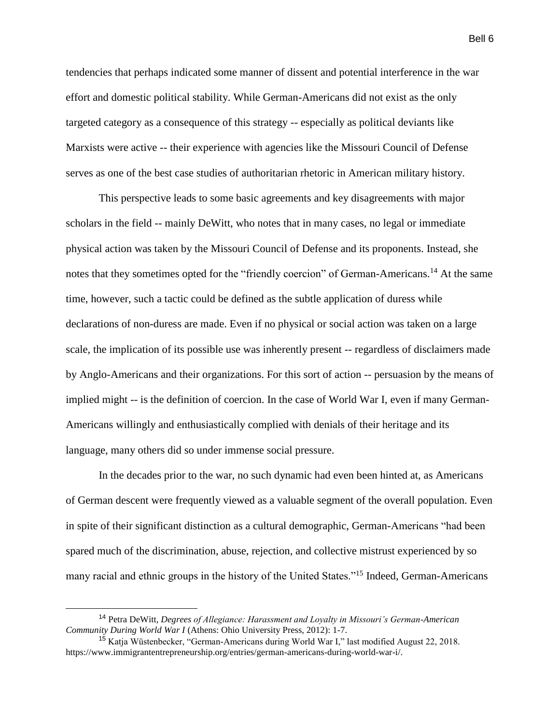tendencies that perhaps indicated some manner of dissent and potential interference in the war effort and domestic political stability. While German-Americans did not exist as the only targeted category as a consequence of this strategy -- especially as political deviants like Marxists were active -- their experience with agencies like the Missouri Council of Defense serves as one of the best case studies of authoritarian rhetoric in American military history.

This perspective leads to some basic agreements and key disagreements with major scholars in the field -- mainly DeWitt, who notes that in many cases, no legal or immediate physical action was taken by the Missouri Council of Defense and its proponents. Instead, she notes that they sometimes opted for the "friendly coercion" of German-Americans.<sup>14</sup> At the same time, however, such a tactic could be defined as the subtle application of duress while declarations of non-duress are made. Even if no physical or social action was taken on a large scale, the implication of its possible use was inherently present -- regardless of disclaimers made by Anglo-Americans and their organizations. For this sort of action -- persuasion by the means of implied might -- is the definition of coercion. In the case of World War I, even if many German-Americans willingly and enthusiastically complied with denials of their heritage and its language, many others did so under immense social pressure.

In the decades prior to the war, no such dynamic had even been hinted at, as Americans of German descent were frequently viewed as a valuable segment of the overall population. Even in spite of their significant distinction as a cultural demographic, German-Americans "had been spared much of the discrimination, abuse, rejection, and collective mistrust experienced by so many racial and ethnic groups in the history of the United States."<sup>15</sup> Indeed, German-Americans

<sup>14</sup> Petra DeWitt, *Degrees of Allegiance: Harassment and Loyalty in Missouri's German-American Community During World War I* (Athens: Ohio University Press, 2012): 1-7.

<sup>&</sup>lt;sup>15</sup> Katja Wüstenbecker, "German-Americans during World War I," last modified August 22, 2018. https://www.immigrantentrepreneurship.org/entries/german-americans-during-world-war-i/.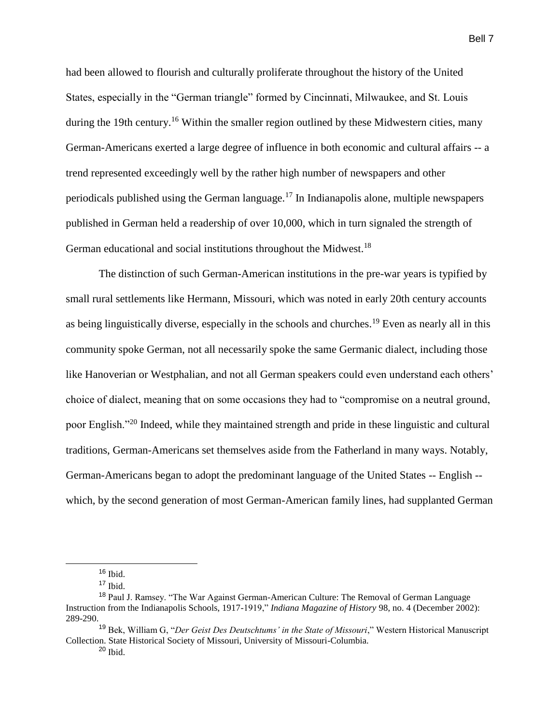had been allowed to flourish and culturally proliferate throughout the history of the United States, especially in the "German triangle" formed by Cincinnati, Milwaukee, and St. Louis during the 19th century.<sup>16</sup> Within the smaller region outlined by these Midwestern cities, many German-Americans exerted a large degree of influence in both economic and cultural affairs -- a trend represented exceedingly well by the rather high number of newspapers and other periodicals published using the German language.<sup>17</sup> In Indianapolis alone, multiple newspapers published in German held a readership of over 10,000, which in turn signaled the strength of German educational and social institutions throughout the Midwest.<sup>18</sup>

The distinction of such German-American institutions in the pre-war years is typified by small rural settlements like Hermann, Missouri, which was noted in early 20th century accounts as being linguistically diverse, especially in the schools and churches.<sup>19</sup> Even as nearly all in this community spoke German, not all necessarily spoke the same Germanic dialect, including those like Hanoverian or Westphalian, and not all German speakers could even understand each others' choice of dialect, meaning that on some occasions they had to "compromise on a neutral ground, poor English."<sup>20</sup> Indeed, while they maintained strength and pride in these linguistic and cultural traditions, German-Americans set themselves aside from the Fatherland in many ways. Notably, German-Americans began to adopt the predominant language of the United States -- English - which, by the second generation of most German-American family lines, had supplanted German

 $16$  Ibid.

 $17$  Ibid.

<sup>&</sup>lt;sup>18</sup> Paul J. Ramsey. "The War Against German-American Culture: The Removal of German Language Instruction from the Indianapolis Schools, 1917-1919," *Indiana Magazine of History* 98, no. 4 (December 2002): 289-290.

<sup>&</sup>lt;sup>19</sup> Bek, William G, "*Der Geist Des Deutschtums' in the State of Missouri*," Western Historical Manuscript Collection. State Historical Society of Missouri, University of Missouri-Columbia.

 $20$  Ibid.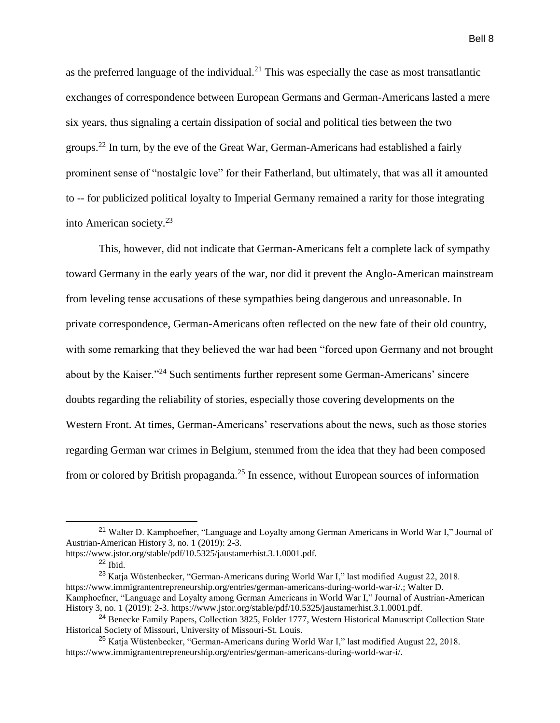as the preferred language of the individual.<sup>21</sup> This was especially the case as most transatlantic exchanges of correspondence between European Germans and German-Americans lasted a mere six years, thus signaling a certain dissipation of social and political ties between the two groups.<sup>22</sup> In turn, by the eve of the Great War, German-Americans had established a fairly prominent sense of "nostalgic love" for their Fatherland, but ultimately, that was all it amounted to -- for publicized political loyalty to Imperial Germany remained a rarity for those integrating into American society.<sup>23</sup>

This, however, did not indicate that German-Americans felt a complete lack of sympathy toward Germany in the early years of the war, nor did it prevent the Anglo-American mainstream from leveling tense accusations of these sympathies being dangerous and unreasonable. In private correspondence, German-Americans often reflected on the new fate of their old country, with some remarking that they believed the war had been "forced upon Germany and not brought about by the Kaiser."<sup>24</sup> Such sentiments further represent some German-Americans' sincere doubts regarding the reliability of stories, especially those covering developments on the Western Front. At times, German-Americans' reservations about the news, such as those stories regarding German war crimes in Belgium, stemmed from the idea that they had been composed from or colored by British propaganda.<sup>25</sup> In essence, without European sources of information

<sup>&</sup>lt;sup>21</sup> Walter D. Kamphoefner, "Language and Loyalty among German Americans in World War I," Journal of Austrian-American History 3, no. 1 (2019): 2-3.

https://www.jstor.org/stable/pdf/10.5325/jaustamerhist.3.1.0001.pdf.

 $^{22}$  Ibid.

<sup>&</sup>lt;sup>23</sup> Katja Wüstenbecker, "German-Americans during World War I," last modified August 22, 2018. https://www.immigrantentrepreneurship.org/entries/german-americans-during-world-war-i/.; Walter D. Kamphoefner, "Language and Loyalty among German Americans in World War I," Journal of Austrian-American History 3, no. 1 (2019): 2-3. https://www.jstor.org/stable/pdf/10.5325/jaustamerhist.3.1.0001.pdf.

<sup>&</sup>lt;sup>24</sup> Benecke Family Papers, Collection 3825, Folder 1777, Western Historical Manuscript Collection State Historical Society of Missouri, University of Missouri-St. Louis.

<sup>25</sup> Katja Wüstenbecker, "German-Americans during World War I," last modified August 22, 2018. https://www.immigrantentrepreneurship.org/entries/german-americans-during-world-war-i/.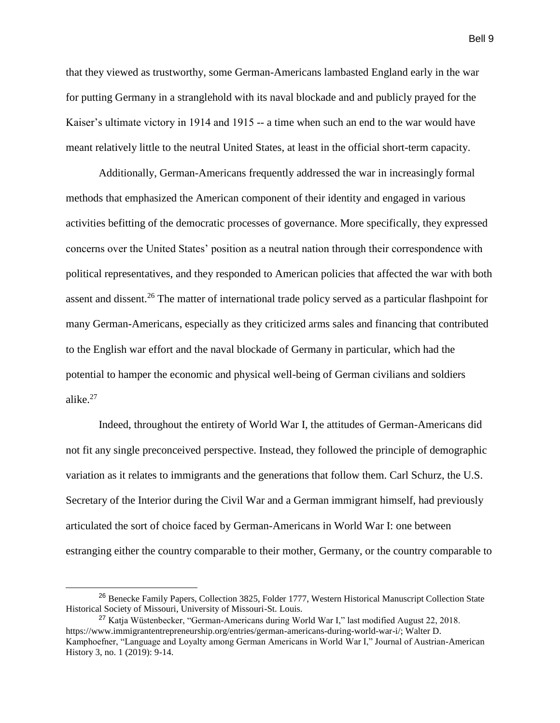that they viewed as trustworthy, some German-Americans lambasted England early in the war for putting Germany in a stranglehold with its naval blockade and and publicly prayed for the Kaiser's ultimate victory in 1914 and 1915 -- a time when such an end to the war would have meant relatively little to the neutral United States, at least in the official short-term capacity.

Additionally, German-Americans frequently addressed the war in increasingly formal methods that emphasized the American component of their identity and engaged in various activities befitting of the democratic processes of governance. More specifically, they expressed concerns over the United States' position as a neutral nation through their correspondence with political representatives, and they responded to American policies that affected the war with both assent and dissent.<sup>26</sup> The matter of international trade policy served as a particular flashpoint for many German-Americans, especially as they criticized arms sales and financing that contributed to the English war effort and the naval blockade of Germany in particular, which had the potential to hamper the economic and physical well-being of German civilians and soldiers alike.<sup>27</sup>

Indeed, throughout the entirety of World War I, the attitudes of German-Americans did not fit any single preconceived perspective. Instead, they followed the principle of demographic variation as it relates to immigrants and the generations that follow them. Carl Schurz, the U.S. Secretary of the Interior during the Civil War and a German immigrant himself, had previously articulated the sort of choice faced by German-Americans in World War I: one between estranging either the country comparable to their mother, Germany, or the country comparable to

 $\overline{a}$ 

<sup>&</sup>lt;sup>26</sup> Benecke Family Papers, Collection 3825, Folder 1777, Western Historical Manuscript Collection State Historical Society of Missouri, University of Missouri-St. Louis.

<sup>27</sup> Katja Wüstenbecker, "German-Americans during World War I," last modified August 22, 2018. https://www.immigrantentrepreneurship.org/entries/german-americans-during-world-war-i/; Walter D. Kamphoefner, "Language and Loyalty among German Americans in World War I," Journal of Austrian-American History 3, no. 1 (2019): 9-14.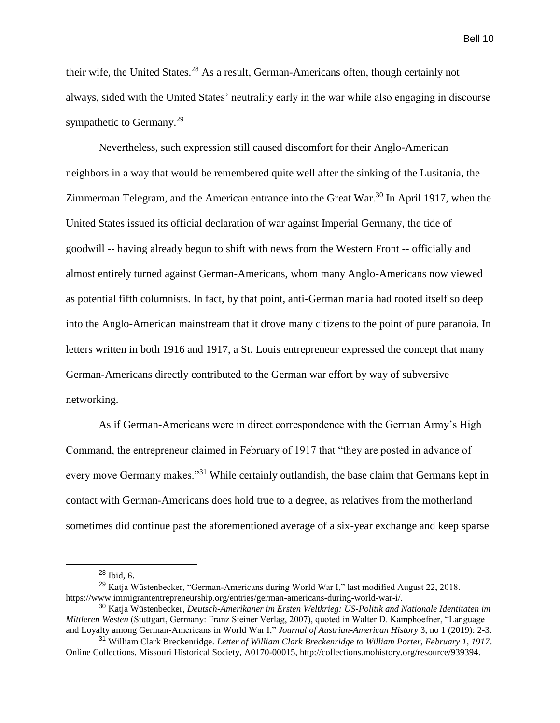their wife, the United States.<sup>28</sup> As a result, German-Americans often, though certainly not always, sided with the United States' neutrality early in the war while also engaging in discourse sympathetic to Germany.<sup>29</sup>

Nevertheless, such expression still caused discomfort for their Anglo-American neighbors in a way that would be remembered quite well after the sinking of the Lusitania, the Zimmerman Telegram, and the American entrance into the Great War.<sup>30</sup> In April 1917, when the United States issued its official declaration of war against Imperial Germany, the tide of goodwill -- having already begun to shift with news from the Western Front -- officially and almost entirely turned against German-Americans, whom many Anglo-Americans now viewed as potential fifth columnists. In fact, by that point, anti-German mania had rooted itself so deep into the Anglo-American mainstream that it drove many citizens to the point of pure paranoia. In letters written in both 1916 and 1917, a St. Louis entrepreneur expressed the concept that many German-Americans directly contributed to the German war effort by way of subversive networking.

As if German-Americans were in direct correspondence with the German Army's High Command, the entrepreneur claimed in February of 1917 that "they are posted in advance of every move Germany makes."<sup>31</sup> While certainly outlandish, the base claim that Germans kept in contact with German-Americans does hold true to a degree, as relatives from the motherland sometimes did continue past the aforementioned average of a six-year exchange and keep sparse

<sup>28</sup> Ibid, 6.

<sup>29</sup> Katja Wüstenbecker, "German-Americans during World War I," last modified August 22, 2018. https://www.immigrantentrepreneurship.org/entries/german-americans-during-world-war-i/.

<sup>30</sup> Katja Wüstenbecker, *Deutsch-Amerikaner im Ersten Weltkrieg: US-Politik and Nationale Identitaten im Mittleren Westen* (Stuttgart, Germany: Franz Steiner Verlag, 2007), quoted in Walter D. Kamphoefner, "Language and Loyalty among German-Americans in World War I," *Journal of Austrian-American History* 3, no 1 (2019): 2-3.

<sup>31</sup> William Clark Breckenridge. *Letter of William Clark Breckenridge to William Porter, February 1, 1917*. Online Collections, Missouri Historical Society, A0170-00015, http://collections.mohistory.org/resource/939394.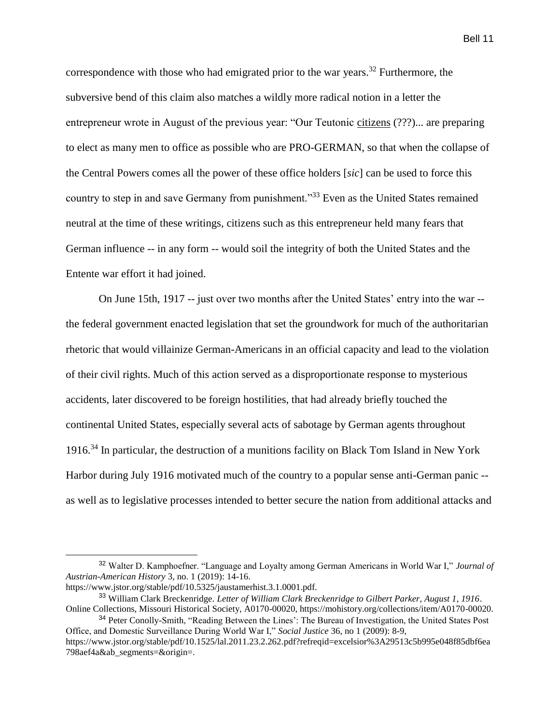correspondence with those who had emigrated prior to the war years.<sup>32</sup> Furthermore, the subversive bend of this claim also matches a wildly more radical notion in a letter the entrepreneur wrote in August of the previous year: "Our Teutonic citizens (???)... are preparing to elect as many men to office as possible who are PRO-GERMAN, so that when the collapse of the Central Powers comes all the power of these office holders [*sic*] can be used to force this country to step in and save Germany from punishment."<sup>33</sup> Even as the United States remained neutral at the time of these writings, citizens such as this entrepreneur held many fears that

German influence -- in any form -- would soil the integrity of both the United States and the Entente war effort it had joined.

On June 15th, 1917 -- just over two months after the United States' entry into the war - the federal government enacted legislation that set the groundwork for much of the authoritarian rhetoric that would villainize German-Americans in an official capacity and lead to the violation of their civil rights. Much of this action served as a disproportionate response to mysterious accidents, later discovered to be foreign hostilities, that had already briefly touched the continental United States, especially several acts of sabotage by German agents throughout 1916.<sup>34</sup> In particular, the destruction of a munitions facility on Black Tom Island in New York Harbor during July 1916 motivated much of the country to a popular sense anti-German panic - as well as to legislative processes intended to better secure the nation from additional attacks and

<sup>32</sup> Walter D. Kamphoefner. "Language and Loyalty among German Americans in World War I," *Journal of Austrian-American History* 3, no. 1 (2019): 14-16.

https://www.jstor.org/stable/pdf/10.5325/jaustamerhist.3.1.0001.pdf.

<sup>33</sup> William Clark Breckenridge. *Letter of William Clark Breckenridge to Gilbert Parker, August 1, 1916*. Online Collections, Missouri Historical Society, A0170-00020, https://mohistory.org/collections/item/A0170-00020.

<sup>&</sup>lt;sup>34</sup> Peter Conolly-Smith, "Reading Between the Lines': The Bureau of Investigation, the United States Post Office, and Domestic Surveillance During World War I," *Social Justice* 36, no 1 (2009): 8-9, https://www.jstor.org/stable/pdf/10.1525/lal.2011.23.2.262.pdf?refreqid=excelsior%3A29513c5b995e048f85dbf6ea 798aef4a&ab\_segments=&origin=.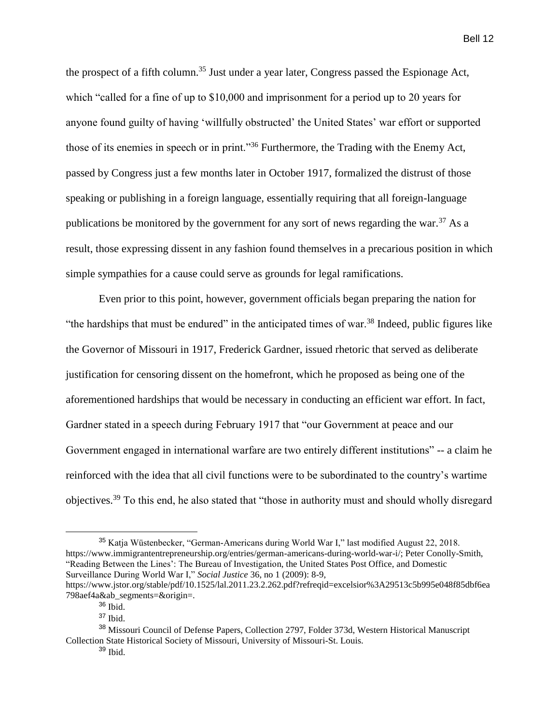the prospect of a fifth column.<sup>35</sup> Just under a year later, Congress passed the Espionage Act, which "called for a fine of up to \$10,000 and imprisonment for a period up to 20 years for anyone found guilty of having 'willfully obstructed' the United States' war effort or supported those of its enemies in speech or in print."<sup>36</sup> Furthermore, the Trading with the Enemy Act, passed by Congress just a few months later in October 1917, formalized the distrust of those speaking or publishing in a foreign language, essentially requiring that all foreign-language publications be monitored by the government for any sort of news regarding the war.<sup>37</sup> As a result, those expressing dissent in any fashion found themselves in a precarious position in which simple sympathies for a cause could serve as grounds for legal ramifications.

Even prior to this point, however, government officials began preparing the nation for "the hardships that must be endured" in the anticipated times of war.<sup>38</sup> Indeed, public figures like the Governor of Missouri in 1917, Frederick Gardner, issued rhetoric that served as deliberate justification for censoring dissent on the homefront, which he proposed as being one of the aforementioned hardships that would be necessary in conducting an efficient war effort. In fact, Gardner stated in a speech during February 1917 that "our Government at peace and our Government engaged in international warfare are two entirely different institutions" -- a claim he reinforced with the idea that all civil functions were to be subordinated to the country's wartime objectives.<sup>39</sup> To this end, he also stated that "those in authority must and should wholly disregard

<sup>35</sup> Katja Wüstenbecker, "German-Americans during World War I," last modified August 22, 2018. https://www.immigrantentrepreneurship.org/entries/german-americans-during-world-war-i/; Peter Conolly-Smith, "Reading Between the Lines': The Bureau of Investigation, the United States Post Office, and Domestic Surveillance During World War I," *Social Justice* 36, no 1 (2009): 8-9,

https://www.jstor.org/stable/pdf/10.1525/lal.2011.23.2.262.pdf?refreqid=excelsior%3A29513c5b995e048f85dbf6ea 798aef4a&ab\_segments=&origin=.

<sup>36</sup> Ibid.

<sup>37</sup> Ibid.

<sup>38</sup> Missouri Council of Defense Papers, Collection 2797, Folder 373d, Western Historical Manuscript Collection State Historical Society of Missouri, University of Missouri-St. Louis.

 $39$  Ibid.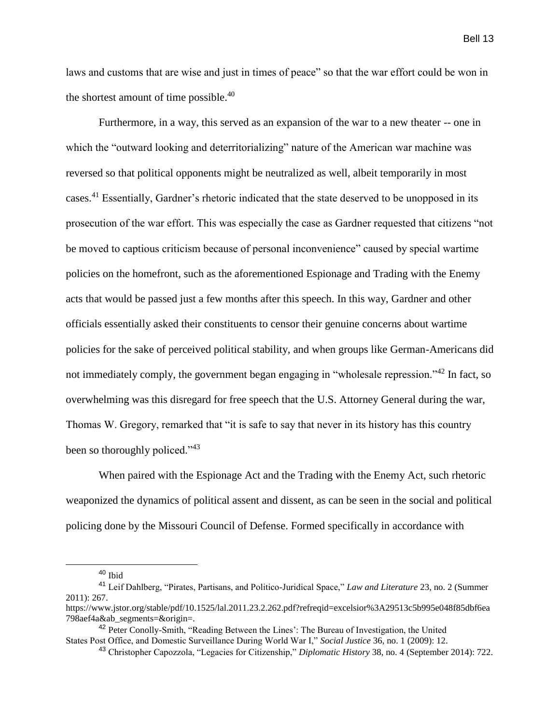laws and customs that are wise and just in times of peace" so that the war effort could be won in the shortest amount of time possible. $40$ 

Furthermore, in a way, this served as an expansion of the war to a new theater -- one in which the "outward looking and deterritorializing" nature of the American war machine was reversed so that political opponents might be neutralized as well, albeit temporarily in most cases.<sup>41</sup> Essentially, Gardner's rhetoric indicated that the state deserved to be unopposed in its prosecution of the war effort. This was especially the case as Gardner requested that citizens "not be moved to captious criticism because of personal inconvenience" caused by special wartime policies on the homefront, such as the aforementioned Espionage and Trading with the Enemy acts that would be passed just a few months after this speech. In this way, Gardner and other officials essentially asked their constituents to censor their genuine concerns about wartime policies for the sake of perceived political stability, and when groups like German-Americans did not immediately comply, the government began engaging in "wholesale repression."<sup>42</sup> In fact, so overwhelming was this disregard for free speech that the U.S. Attorney General during the war, Thomas W. Gregory, remarked that "it is safe to say that never in its history has this country been so thoroughly policed."<sup>43</sup>

When paired with the Espionage Act and the Trading with the Enemy Act, such rhetoric weaponized the dynamics of political assent and dissent, as can be seen in the social and political policing done by the Missouri Council of Defense. Formed specifically in accordance with

<sup>40</sup> Ibid

<sup>41</sup> Leif Dahlberg, "Pirates, Partisans, and Politico-Juridical Space," *Law and Literature* 23, no. 2 (Summer 2011): 267.

https://www.jstor.org/stable/pdf/10.1525/lal.2011.23.2.262.pdf?refreqid=excelsior%3A29513c5b995e048f85dbf6ea 798aef4a&ab\_segments=&origin=.

<sup>&</sup>lt;sup>42</sup> Peter Conolly-Smith, "Reading Between the Lines': The Bureau of Investigation, the United States Post Office, and Domestic Surveillance During World War I," *Social Justice* 36, no. 1 (2009): 12.

<sup>43</sup> Christopher Capozzola, "Legacies for Citizenship," *Diplomatic History* 38, no. 4 (September 2014): 722.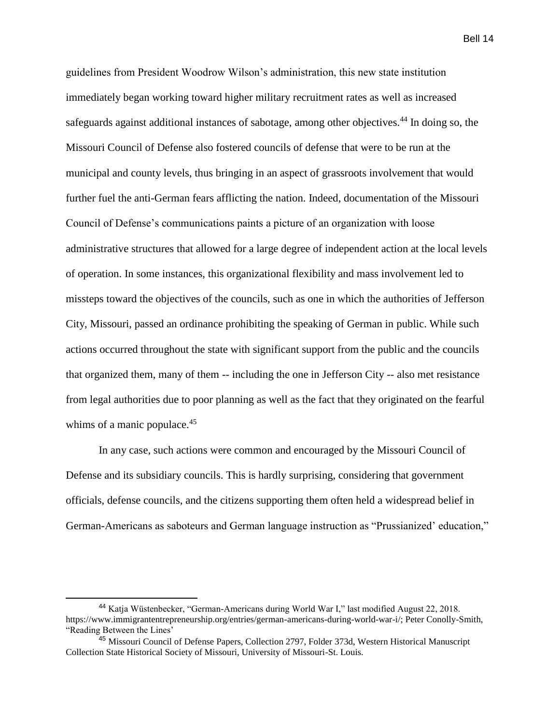guidelines from President Woodrow Wilson's administration, this new state institution immediately began working toward higher military recruitment rates as well as increased safeguards against additional instances of sabotage, among other objectives.<sup>44</sup> In doing so, the Missouri Council of Defense also fostered councils of defense that were to be run at the municipal and county levels, thus bringing in an aspect of grassroots involvement that would further fuel the anti-German fears afflicting the nation. Indeed, documentation of the Missouri Council of Defense's communications paints a picture of an organization with loose administrative structures that allowed for a large degree of independent action at the local levels of operation. In some instances, this organizational flexibility and mass involvement led to missteps toward the objectives of the councils, such as one in which the authorities of Jefferson City, Missouri, passed an ordinance prohibiting the speaking of German in public. While such actions occurred throughout the state with significant support from the public and the councils that organized them, many of them -- including the one in Jefferson City -- also met resistance from legal authorities due to poor planning as well as the fact that they originated on the fearful whims of a manic populace.<sup>45</sup>

In any case, such actions were common and encouraged by the Missouri Council of Defense and its subsidiary councils. This is hardly surprising, considering that government officials, defense councils, and the citizens supporting them often held a widespread belief in German-Americans as saboteurs and German language instruction as "Prussianized' education,"

<sup>44</sup> Katja Wüstenbecker, "German-Americans during World War I," last modified August 22, 2018. https://www.immigrantentrepreneurship.org/entries/german-americans-during-world-war-i/; Peter Conolly-Smith, "Reading Between the Lines'

<sup>&</sup>lt;sup>45</sup> Missouri Council of Defense Papers, Collection 2797, Folder 373d, Western Historical Manuscript Collection State Historical Society of Missouri, University of Missouri-St. Louis.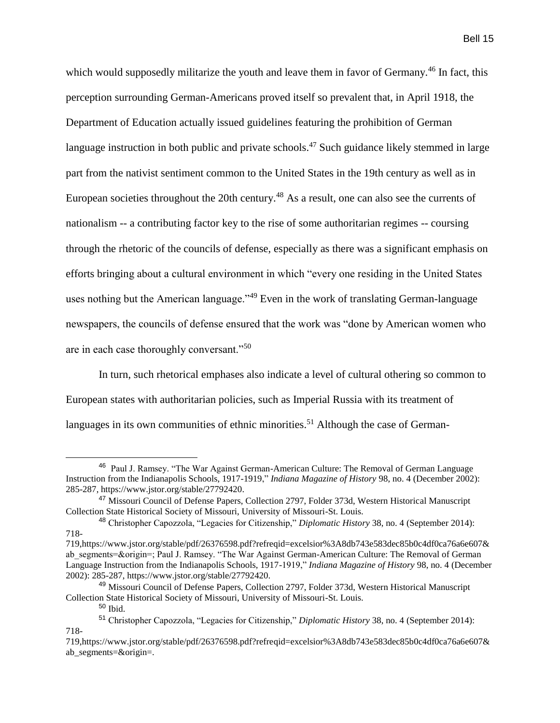which would supposedly militarize the youth and leave them in favor of Germany.<sup>46</sup> In fact, this perception surrounding German-Americans proved itself so prevalent that, in April 1918, the Department of Education actually issued guidelines featuring the prohibition of German language instruction in both public and private schools.<sup>47</sup> Such guidance likely stemmed in large part from the nativist sentiment common to the United States in the 19th century as well as in European societies throughout the 20th century.<sup>48</sup> As a result, one can also see the currents of nationalism -- a contributing factor key to the rise of some authoritarian regimes -- coursing through the rhetoric of the councils of defense, especially as there was a significant emphasis on efforts bringing about a cultural environment in which "every one residing in the United States uses nothing but the American language."<sup>49</sup> Even in the work of translating German-language newspapers, the councils of defense ensured that the work was "done by American women who are in each case thoroughly conversant."<sup>50</sup>

In turn, such rhetorical emphases also indicate a level of cultural othering so common to European states with authoritarian policies, such as Imperial Russia with its treatment of languages in its own communities of ethnic minorities.<sup>51</sup> Although the case of German-

<sup>&</sup>lt;sup>46</sup> Paul J. Ramsey. "The War Against German-American Culture: The Removal of German Language Instruction from the Indianapolis Schools, 1917-1919," *Indiana Magazine of History* 98, no. 4 (December 2002): 285-287, https://www.jstor.org/stable/27792420.

<sup>47</sup> Missouri Council of Defense Papers, Collection 2797, Folder 373d, Western Historical Manuscript Collection State Historical Society of Missouri, University of Missouri-St. Louis.

<sup>48</sup> Christopher Capozzola, "Legacies for Citizenship," *Diplomatic History* 38, no. 4 (September 2014): 718-

<sup>719,</sup>https://www.jstor.org/stable/pdf/26376598.pdf?refreqid=excelsior%3A8db743e583dec85b0c4df0ca76a6e607& ab segments=&origin=; Paul J. Ramsey. "The War Against German-American Culture: The Removal of German Language Instruction from the Indianapolis Schools, 1917-1919," *Indiana Magazine of History* 98, no. 4 (December 2002): 285-287, https://www.jstor.org/stable/27792420.

<sup>&</sup>lt;sup>49</sup> Missouri Council of Defense Papers, Collection 2797, Folder 373d, Western Historical Manuscript Collection State Historical Society of Missouri, University of Missouri-St. Louis.

<sup>50</sup> Ibid.

<sup>51</sup> Christopher Capozzola, "Legacies for Citizenship," *Diplomatic History* 38, no. 4 (September 2014): 718-

<sup>719,</sup>https://www.jstor.org/stable/pdf/26376598.pdf?refreqid=excelsior%3A8db743e583dec85b0c4df0ca76a6e607& ab\_segments=&origin=.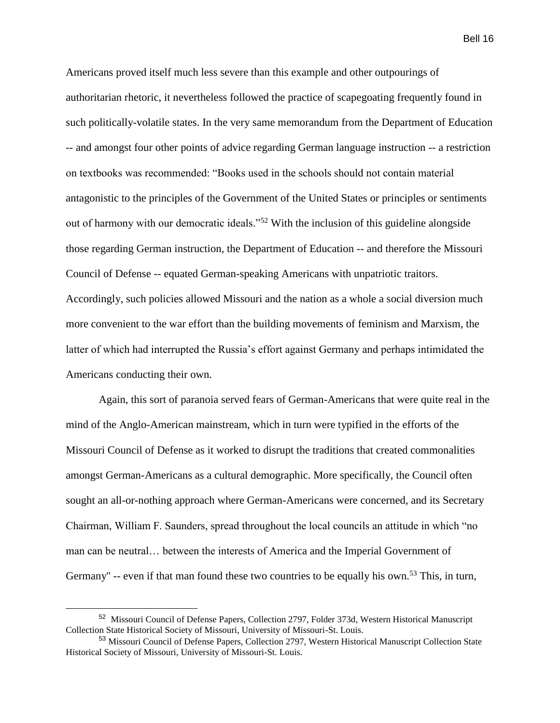Americans proved itself much less severe than this example and other outpourings of authoritarian rhetoric, it nevertheless followed the practice of scapegoating frequently found in such politically-volatile states. In the very same memorandum from the Department of Education -- and amongst four other points of advice regarding German language instruction -- a restriction on textbooks was recommended: "Books used in the schools should not contain material antagonistic to the principles of the Government of the United States or principles or sentiments out of harmony with our democratic ideals."<sup>52</sup> With the inclusion of this guideline alongside those regarding German instruction, the Department of Education -- and therefore the Missouri Council of Defense -- equated German-speaking Americans with unpatriotic traitors. Accordingly, such policies allowed Missouri and the nation as a whole a social diversion much more convenient to the war effort than the building movements of feminism and Marxism, the latter of which had interrupted the Russia's effort against Germany and perhaps intimidated the Americans conducting their own.

Again, this sort of paranoia served fears of German-Americans that were quite real in the mind of the Anglo-American mainstream, which in turn were typified in the efforts of the Missouri Council of Defense as it worked to disrupt the traditions that created commonalities amongst German-Americans as a cultural demographic. More specifically, the Council often sought an all-or-nothing approach where German-Americans were concerned, and its Secretary Chairman, William F. Saunders, spread throughout the local councils an attitude in which "no man can be neutral… between the interests of America and the Imperial Government of Germany" -- even if that man found these two countries to be equally his own.<sup>53</sup> This, in turn,

<sup>&</sup>lt;sup>52</sup> Missouri Council of Defense Papers, Collection 2797, Folder 373d, Western Historical Manuscript Collection State Historical Society of Missouri, University of Missouri-St. Louis.

<sup>53</sup> Missouri Council of Defense Papers, Collection 2797, Western Historical Manuscript Collection State Historical Society of Missouri, University of Missouri-St. Louis.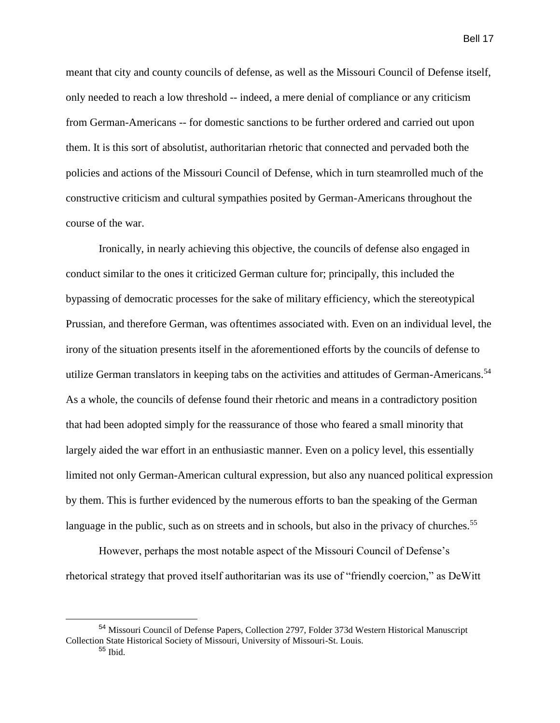meant that city and county councils of defense, as well as the Missouri Council of Defense itself, only needed to reach a low threshold -- indeed, a mere denial of compliance or any criticism from German-Americans -- for domestic sanctions to be further ordered and carried out upon them. It is this sort of absolutist, authoritarian rhetoric that connected and pervaded both the policies and actions of the Missouri Council of Defense, which in turn steamrolled much of the constructive criticism and cultural sympathies posited by German-Americans throughout the course of the war.

Ironically, in nearly achieving this objective, the councils of defense also engaged in conduct similar to the ones it criticized German culture for; principally, this included the bypassing of democratic processes for the sake of military efficiency, which the stereotypical Prussian, and therefore German, was oftentimes associated with. Even on an individual level, the irony of the situation presents itself in the aforementioned efforts by the councils of defense to utilize German translators in keeping tabs on the activities and attitudes of German-Americans.<sup>54</sup> As a whole, the councils of defense found their rhetoric and means in a contradictory position that had been adopted simply for the reassurance of those who feared a small minority that largely aided the war effort in an enthusiastic manner. Even on a policy level, this essentially limited not only German-American cultural expression, but also any nuanced political expression by them. This is further evidenced by the numerous efforts to ban the speaking of the German language in the public, such as on streets and in schools, but also in the privacy of churches.<sup>55</sup>

However, perhaps the most notable aspect of the Missouri Council of Defense's rhetorical strategy that proved itself authoritarian was its use of "friendly coercion," as DeWitt

 $\overline{a}$ 

<sup>54</sup> Missouri Council of Defense Papers, Collection 2797, Folder 373d Western Historical Manuscript Collection State Historical Society of Missouri, University of Missouri-St. Louis.

 $55$  Ibid.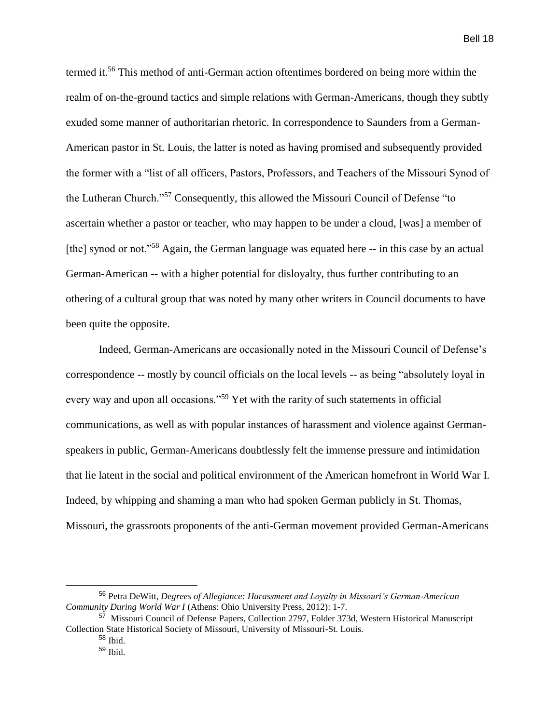termed it.<sup>56</sup> This method of anti-German action oftentimes bordered on being more within the realm of on-the-ground tactics and simple relations with German-Americans, though they subtly exuded some manner of authoritarian rhetoric. In correspondence to Saunders from a German-American pastor in St. Louis, the latter is noted as having promised and subsequently provided the former with a "list of all officers, Pastors, Professors, and Teachers of the Missouri Synod of the Lutheran Church."<sup>57</sup> Consequently, this allowed the Missouri Council of Defense "to ascertain whether a pastor or teacher, who may happen to be under a cloud, [was] a member of [the] synod or not."<sup>58</sup> Again, the German language was equated here -- in this case by an actual German-American -- with a higher potential for disloyalty, thus further contributing to an othering of a cultural group that was noted by many other writers in Council documents to have been quite the opposite.

Indeed, German-Americans are occasionally noted in the Missouri Council of Defense's correspondence -- mostly by council officials on the local levels -- as being "absolutely loyal in every way and upon all occasions."<sup>59</sup> Yet with the rarity of such statements in official communications, as well as with popular instances of harassment and violence against Germanspeakers in public, German-Americans doubtlessly felt the immense pressure and intimidation that lie latent in the social and political environment of the American homefront in World War I. Indeed, by whipping and shaming a man who had spoken German publicly in St. Thomas, Missouri, the grassroots proponents of the anti-German movement provided German-Americans

<sup>56</sup> Petra DeWitt, *Degrees of Allegiance: Harassment and Loyalty in Missouri's German-American Community During World War I* (Athens: Ohio University Press, 2012): 1-7.

<sup>&</sup>lt;sup>57</sup> Missouri Council of Defense Papers, Collection 2797, Folder 373d, Western Historical Manuscript Collection State Historical Society of Missouri, University of Missouri-St. Louis.

 $58$  Ibid.

<sup>59</sup> Ibid.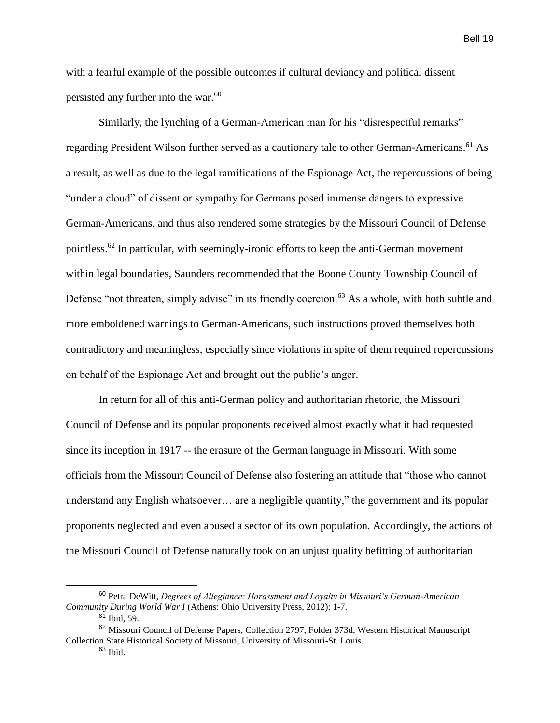with a fearful example of the possible outcomes if cultural deviancy and political dissent persisted any further into the war.<sup>60</sup>

Similarly, the lynching of a German-American man for his "disrespectful remarks" regarding President Wilson further served as a cautionary tale to other German-Americans.<sup>61</sup> As a result, as well as due to the legal ramifications of the Espionage Act, the repercussions of being "under a cloud" of dissent or sympathy for Germans posed immense dangers to expressive German-Americans, and thus also rendered some strategies by the Missouri Council of Defense pointless.<sup>62</sup> In particular, with seemingly-ironic efforts to keep the anti-German movement within legal boundaries, Saunders recommended that the Boone County Township Council of Defense "not threaten, simply advise" in its friendly coercion.<sup>63</sup> As a whole, with both subtle and more emboldened warnings to German-Americans, such instructions proved themselves both contradictory and meaningless, especially since violations in spite of them required repercussions on behalf of the Espionage Act and brought out the public's anger.

In return for all of this anti-German policy and authoritarian rhetoric, the Missouri Council of Defense and its popular proponents received almost exactly what it had requested since its inception in 1917 -- the erasure of the German language in Missouri. With some officials from the Missouri Council of Defense also fostering an attitude that "those who cannot understand any English whatsoever… are a negligible quantity," the government and its popular proponents neglected and even abused a sector of its own population. Accordingly, the actions of the Missouri Council of Defense naturally took on an unjust quality befitting of authoritarian

<sup>60</sup> Petra DeWitt, *Degrees of Allegiance: Harassment and Loyalty in Missouri's German-American Community During World War I* (Athens: Ohio University Press, 2012): 1-7.

<sup>61</sup> Ibid, 59.

<sup>62</sup> Missouri Council of Defense Papers, Collection 2797, Folder 373d, Western Historical Manuscript Collection State Historical Society of Missouri, University of Missouri-St. Louis.

 $63$  Ibid.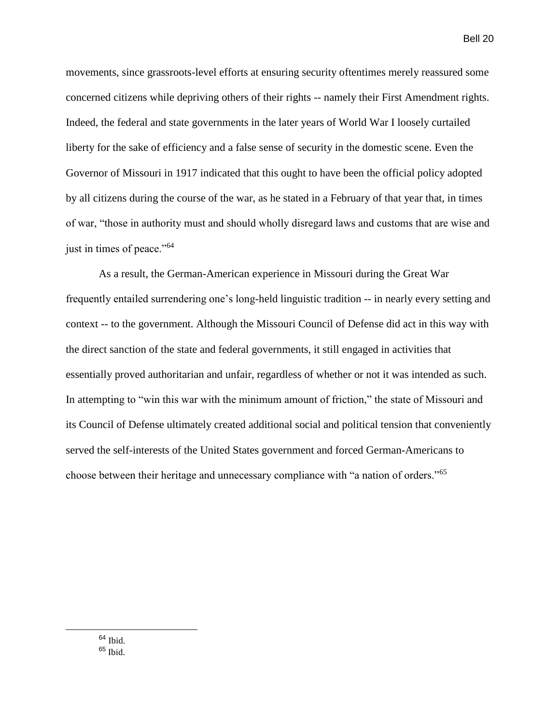movements, since grassroots-level efforts at ensuring security oftentimes merely reassured some concerned citizens while depriving others of their rights -- namely their First Amendment rights. Indeed, the federal and state governments in the later years of World War I loosely curtailed liberty for the sake of efficiency and a false sense of security in the domestic scene. Even the Governor of Missouri in 1917 indicated that this ought to have been the official policy adopted by all citizens during the course of the war, as he stated in a February of that year that, in times of war, "those in authority must and should wholly disregard laws and customs that are wise and just in times of peace."<sup>64</sup>

As a result, the German-American experience in Missouri during the Great War frequently entailed surrendering one's long-held linguistic tradition -- in nearly every setting and context -- to the government. Although the Missouri Council of Defense did act in this way with the direct sanction of the state and federal governments, it still engaged in activities that essentially proved authoritarian and unfair, regardless of whether or not it was intended as such. In attempting to "win this war with the minimum amount of friction," the state of Missouri and its Council of Defense ultimately created additional social and political tension that conveniently served the self-interests of the United States government and forced German-Americans to choose between their heritage and unnecessary compliance with "a nation of orders."<sup>65</sup>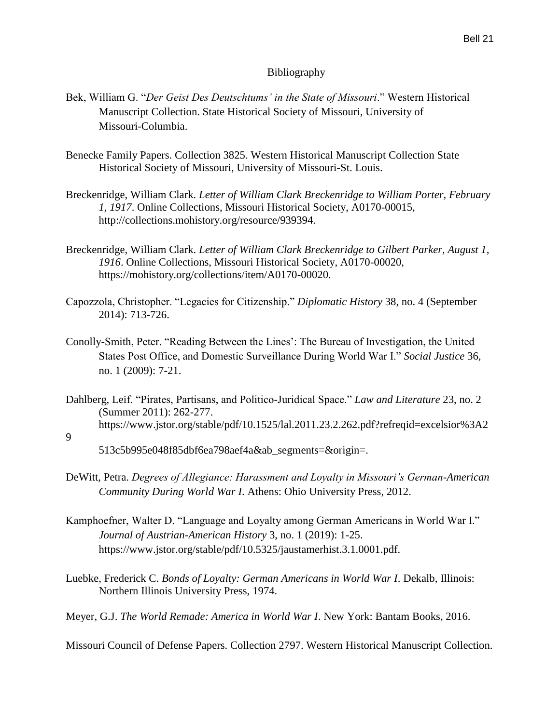## Bibliography

- Bek, William G. "*Der Geist Des Deutschtums' in the State of Missouri*." Western Historical Manuscript Collection. State Historical Society of Missouri, University of Missouri-Columbia.
- Benecke Family Papers. Collection 3825. Western Historical Manuscript Collection State Historical Society of Missouri, University of Missouri-St. Louis.
- Breckenridge, William Clark. *Letter of William Clark Breckenridge to William Porter, February 1, 1917*. Online Collections, Missouri Historical Society, A0170-00015, http://collections.mohistory.org/resource/939394.
- Breckenridge, William Clark. *Letter of William Clark Breckenridge to Gilbert Parker, August 1, 1916*. Online Collections, Missouri Historical Society, A0170-00020, https://mohistory.org/collections/item/A0170-00020.
- Capozzola, Christopher. "Legacies for Citizenship." *Diplomatic History* 38, no. 4 (September 2014): 713-726.
- Conolly-Smith, Peter. "Reading Between the Lines': The Bureau of Investigation, the United States Post Office, and Domestic Surveillance During World War I." *Social Justice* 36, no. 1 (2009): 7-21.
- Dahlberg, Leif. "Pirates, Partisans, and Politico-Juridical Space." *Law and Literature* 23, no. 2 (Summer 2011): 262-277. https://www.jstor.org/stable/pdf/10.1525/lal.2011.23.2.262.pdf?refreqid=excelsior%3A2
- 9

513c5b995e048f85dbf6ea798aef4a&ab\_segments=&origin=.

- DeWitt, Petra. *Degrees of Allegiance: Harassment and Loyalty in Missouri's German-American Community During World War I*. Athens: Ohio University Press, 2012.
- Kamphoefner, Walter D. "Language and Loyalty among German Americans in World War I." *Journal of Austrian-American History* 3, no. 1 (2019): 1-25. https://www.jstor.org/stable/pdf/10.5325/jaustamerhist.3.1.0001.pdf.
- Luebke, Frederick C. *Bonds of Loyalty: German Americans in World War I*. Dekalb, Illinois: Northern Illinois University Press, 1974.
- Meyer, G.J. *The World Remade: America in World War I*. New York: Bantam Books, 2016.

Missouri Council of Defense Papers. Collection 2797. Western Historical Manuscript Collection.